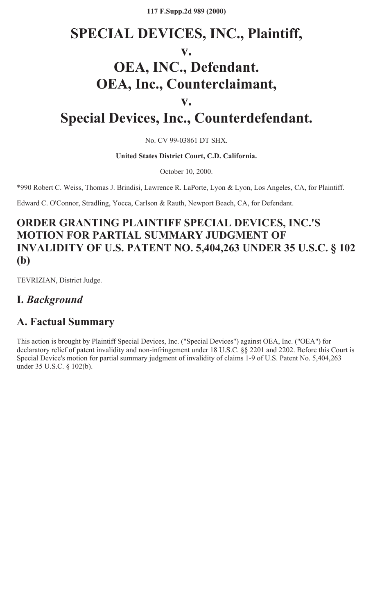**117 F.Supp.2d 989 (2000)**

# **SPECIAL DEVICES, INC., Plaintiff, v. OEA, INC., Defendant. OEA, Inc., Counterclaimant, v.**

# **Special Devices, Inc., Counterdefendant.**

No. CV 99-03861 DT SHX.

**United States District Court, C.D. California.**

October 10, 2000.

\*990 Robert C. Weiss, Thomas J. Brindisi, Lawrence R. LaPorte, Lyon & Lyon, Los Angeles, CA, for Plaintiff.

Edward C. O'Connor, Stradling, Yocca, Carlson & Rauth, Newport Beach, CA, for Defendant.

# **ORDER GRANTING PLAINTIFF SPECIAL DEVICES, INC.'S MOTION FOR PARTIAL SUMMARY JUDGMENT OF INVALIDITY OF U.S. PATENT NO. 5,404,263 UNDER 35 U.S.C. § 102 (b)**

TEVRIZIAN, District Judge.

## **I.** *Background*

## **A. Factual Summary**

This action is brought by Plaintiff Special Devices, Inc. ("Special Devices") against OEA, Inc. ("OEA") for declaratory relief of patent invalidity and non-infringement under 18 U.S.C. §§ 2201 and 2202. Before this Court is Special Device's motion for partial summary judgment of invalidity of claims 1-9 of U.S. Patent No. 5,404,263 under 35 U.S.C. § 102(b).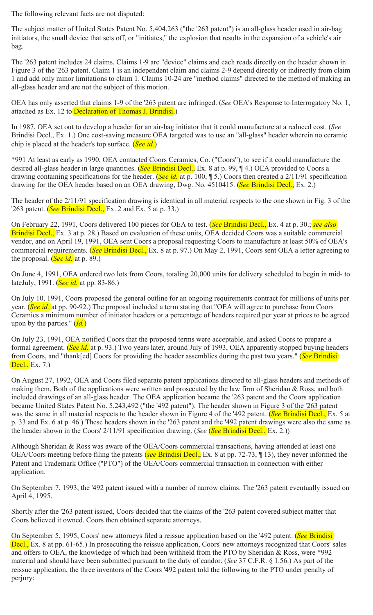The following relevant facts are not disputed:

The subject matter of United States Patent No. 5,404,263 ("the '263 patent") is an all-glass header used in air-bag initiators, the small device that sets off, or "initiates," the explosion that results in the expansion of a vehicle's air bag.

The '263 patent includes 24 claims. Claims 1-9 are "device" claims and each reads directly on the header shown in Figure 3 of the '263 patent. Claim 1 is an independent claim and claims 2-9 depend directly or indirectly from claim 1 and add only minor limitations to claim 1. Claims 10-24 are "method claims" directed to the method of making an all-glass header and are not the subject of this motion.

OEA has only asserted that claims 1-9 of the '263 patent are infringed. (*See* OEA's Response to Interrogatory No. 1, attached as Ex. 12 to Declaration of Thomas J. Brindisi.)

In 1987, OEA set out to develop a header for an air-bag initiator that it could manufacture at a reduced cost. (*See* Brindisi Decl., Ex. 1.) One cost-saving measure OEA targeted was to use an "all-glass" header wherein no ceramic chip is placed at the header's top surface. (*See id.*)

\*991 At least as early as 1990, OEA contacted Coors Ceramics, Co. ("Coors"), to see if it could manufacture the desired all-glass header in large quantities. (*See* Brindisi Decl., Ex. 8 at p. 99, ¶ 4.) OEA provided to Coors a drawing containing specifications for the header. (*See id.* at p. 100, ¶ 5.) Coors then created a 2/11/91 specification drawing for the OEA header based on an OEA drawing, Dwg. No. 4510415. (*See* Brindisi Decl., Ex. 2.)

The header of the 2/11/91 specification drawing is identical in all material respects to the one shown in Fig. 3 of the '263 patent. (*See* Brindisi Decl., Ex. 2 and Ex. 5 at p. 33.)

On February 22, 1991, Coors delivered 100 pieces for OEA to test. (*See* Brindisi Decl., Ex. 4 at p. 30.; *see also* Brindisi Decl., Ex. 3 at p. 28.) Based on evaluation of these units, OEA decided Coors was a suitable commercial vendor, and on April 19, 1991, OEA sent Coors a proposal requesting Coors to manufacture at least 50% of OEA's commercial requirements. (*See* Brindisi Decl., Ex. 8 at p. 97.) On May 2, 1991, Coors sent OEA a letter agreeing to the proposal. (*See id.* at p. 89.)

On June 4, 1991, OEA ordered two lots from Coors, totaling 20,000 units for delivery scheduled to begin in mid- to lateJuly, 1991. (*See id.* at pp. 83-86.)

On July 10, 1991, Coors proposed the general outline for an ongoing requirements contract for millions of units per year. (*See id.* at pp. 90-92.) The proposal included a term stating that "OEA will agree to purchase from Coors Ceramics a minimum number of initiator headers or a percentage of headers required per year at prices to be agreed upon by the parties." (*Id.*)

On July 23, 1991, OEA notified Coors that the proposed terms were acceptable, and asked Coors to prepare a formal agreement. (*See id.* at p. 93.) Two years later, around July of 1993, OEA apparently stopped buying headers from Coors, and "thank[ed] Coors for providing the header assemblies during the past two years." (*See* Brindisi Decl., Ex. 7.)

On August 27, 1992, OEA and Coors filed separate patent applications directed to all-glass headers and methods of making them. Both of the applications were written and prosecuted by the law firm of Sheridan & Ross, and both included drawings of an all-glass header. The OEA application became the '263 patent and the Coors application became United States Patent No. 5,243,492 ("the '492 patent"). The header shown in Figure 3 of the '263 patent was the same in all material respects to the header shown in Figure 4 of the '492 patent. (*See* Brindisi Decl., Ex. 5 at p. 33 and Ex. 6 at p. 46.) These headers shown in the '263 patent and the '492 patent drawings were also the same as the header shown in the Coors' 2/11/91 specification drawing. (*See* (*See* Brindisi Decl., Ex. 2.))

Although Sheridan & Ross was aware of the OEA/Coors commercial transactions, having attended at least one OEA/Coors meeting before filing the patents (*see* Brindisi Decl., Ex. 8 at pp. 72-73, ¶ 13), they never informed the Patent and Trademark Office ("PTO") of the OEA/Coors commercial transaction in connection with either application.

On September 7, 1993, the '492 patent issued with a number of narrow claims. The '263 patent eventually issued on April 4, 1995.

Shortly after the '263 patent issued, Coors decided that the claims of the '263 patent covered subject matter that Coors believed it owned. Coors then obtained separate attorneys.

On September 5, 1995, Coors' new attorneys filed a reissue application based on the '492 patent. (*See* Brindisi Decl., Ex. 8 at pp. 61-65.) In prosecuting the reissue application, Coors' new attorneys recognized that Coors' sales and offers to OEA, the knowledge of which had been withheld from the PTO by Sheridan & Ross, were \*992 material and should have been submitted pursuant to the duty of candor. (*See* 37 C.F.R. § 1.56.) As part of the reissue application, the three inventors of the Coors '492 patent told the following to the PTO under penalty of perjury: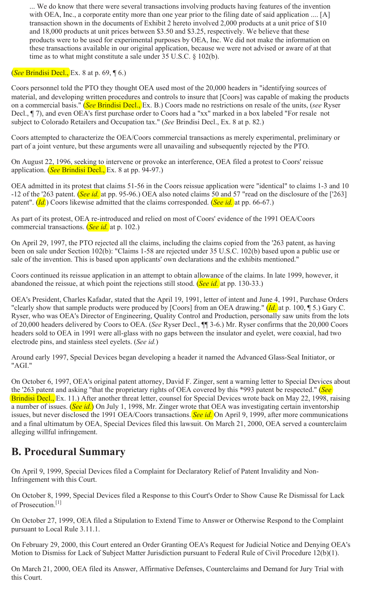... We do know that there were several transactions involving products having features of the invention with OEA, Inc., a corporate entity more than one year prior to the filing date of said application .... [A] transaction shown in the documents of Exhibit 2 hereto involved 2,000 products at a unit price of \$10 and 18,000 products at unit prices between \$3.50 and \$3.25, respectively. We believe that these products were to be used for experimental purposes by OEA, Inc. We did not make the information on these transactions available in our original application, because we were not advised or aware of at that time as to what might constitute a sale under 35 U.S.C. § 102(b).

#### (*See* Brindisi Decl., Ex. 8 at p. 69, ¶ 6.)

Coors personnel told the PTO they thought OEA used most of the 20,000 headers in "identifying sources of material, and developing written procedures and controls to insure that [Coors] was capable of making the products on a commercial basis." (*See* Brindisi Decl., Ex. B.) Coors made no restrictions on resale of the units, (*see* Ryser Decl., ¶ 7), and even OEA's first purchase order to Coors had a "xx" marked in a box labeled "For resale not subject to Colorado Retailers and Occupation tax." (*See* Brindisi Decl., Ex. 8 at p. 82.)

Coors attempted to characterize the OEA/Coors commercial transactions as merely experimental, preliminary or part of a joint venture, but these arguments were all unavailing and subsequently rejected by the PTO.

On August 22, 1996, seeking to intervene or provoke an interference, OEA filed a protest to Coors' reissue application. (*See* Brindisi Decl., Ex. 8 at pp. 94-97.)

OEA admitted in its protest that claims 51-56 in the Coors reissue application were "identical" to claims 1-3 and 10 -12 of the '263 patent. (*See id.* at pp. 95-96.) OEA also noted claims 50 and 57 "read on the disclosure of the ['263] patent". (*Id.*) Coors likewise admitted that the claims corresponded. (*See id.* at pp. 66-67.)

As part of its protest, OEA re-introduced and relied on most of Coors' evidence of the 1991 OEA/Coors commercial transactions. (*See id.* at p. 102.)

On April 29, 1997, the PTO rejected all the claims, including the claims copied from the '263 patent, as having been on sale under Section 102(b): "Claims 1-58 are rejected under 35 U.S.C. 102(b) based upon a public use or sale of the invention. This is based upon applicants' own declarations and the exhibits mentioned."

Coors continued its reissue application in an attempt to obtain allowance of the claims. In late 1999, however, it abandoned the reissue, at which point the rejections still stood. (*See id.* at pp. 130-33.)

OEA's President, Charles Kafadar, stated that the April 19, 1991, letter of intent and June 4, 1991, Purchase Orders "clearly show that sample products were produced by [Coors] from an OEA drawing." (*Id.* at p. 100, ¶ 5.) Gary C. Ryser, who was OEA's Director of Engineering, Quality Control and Production, personally saw units from the lots of 20,000 headers delivered by Coors to OEA. (*See* Ryser Decl., ¶¶ 3-6.) Mr. Ryser confirms that the 20,000 Coors headers sold to OEA in 1991 were all-glass with no gaps between the insulator and eyelet, were coaxial, had two electrode pins, and stainless steel eyelets. (*See id.*)

Around early 1997, Special Devices began developing a header it named the Advanced Glass-Seal Initiator, or "AGI."

On October 6, 1997, OEA's original patent attorney, David F. Zinger, sent a warning letter to Special Devices about the '263 patent and asking "that the proprietary rights of OEA covered by this \*993 patent be respected." (*See* Brindisi Decl., Ex. 11.) After another threat letter, counsel for Special Devices wrote back on May 22, 1998, raising a number of issues. (*See id.*) On July 1, 1998, Mr. Zinger wrote that OEA was investigating certain inventorship issues, but never disclosed the 1991 OEA/Coors transactions. *See id.* On April 9, 1999, after more communications and a final ultimatum by OEA, Special Devices filed this lawsuit. On March 21, 2000, OEA served a counterclaim alleging willful infringement.

#### **B. Procedural Summary**

On April 9, 1999, Special Devices filed a Complaint for Declaratory Relief of Patent Invalidity and Non-Infringement with this Court.

On October 8, 1999, Special Devices filed a Response to this Court's Order to Show Cause Re Dismissal for Lack of Prosecution.<sup>[1]</sup>

On October 27, 1999, OEA filed a Stipulation to Extend Time to Answer or Otherwise Respond to the Complaint pursuant to Local Rule 3.11.1.

On February 29, 2000, this Court entered an Order Granting OEA's Request for Judicial Notice and Denying OEA's Motion to Dismiss for Lack of Subject Matter Jurisdiction pursuant to Federal Rule of Civil Procedure 12(b)(1).

On March 21, 2000, OEA filed its Answer, Affirmative Defenses, Counterclaims and Demand for Jury Trial with this Court.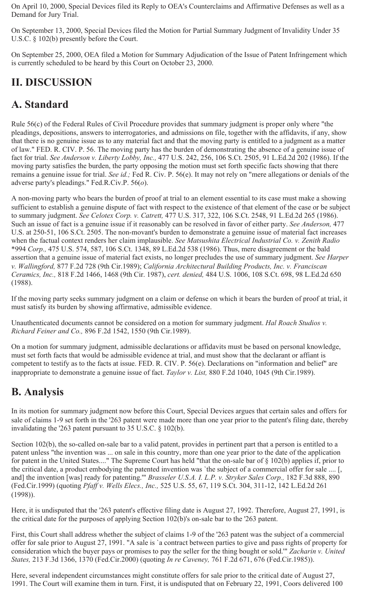On April 10, 2000, Special Devices filed its Reply to OEA's Counterclaims and Affirmative Defenses as well as a Demand for Jury Trial.

On September 13, 2000, Special Devices filed the Motion for Partial Summary Judgment of Invalidity Under 35 U.S.C. § 102(b) presently before the Court.

On September 25, 2000, OEA filed a Motion for Summary Adjudication of the Issue of Patent Infringement which is currently scheduled to be heard by this Court on October 23, 2000.

# **II. DISCUSSION**

# **A. Standard**

Rule 56(c) of the Federal Rules of Civil Procedure provides that summary judgment is proper only where "the pleadings, depositions, answers to interrogatories, and admissions on file, together with the affidavits, if any, show that there is no genuine issue as to any material fact and that the moving party is entitled to a judgment as a matter of law." FED. R. CIV. P. 56. The moving party has the burden of demonstrating the absence of a genuine issue of fact for trial. *See Anderson v. Liberty Lobby, Inc.,* 477 U.S. 242, 256, 106 S.Ct. 2505, 91 L.Ed.2d 202 (1986). If the moving party satisfies the burden, the party opposing the motion must set forth specific facts showing that there remains a genuine issue for trial. *See id.;* Fed R. Civ. P. 56(e). It may not rely on "mere allegations or denials of the adverse party's pleadings." Fed.R.Civ.P. 56(*o*).

A non-moving party who bears the burden of proof at trial to an element essential to its case must make a showing sufficient to establish a genuine dispute of fact with respect to the existence of that element of the case or be subject to summary judgment. *See Celotex Corp. v. Catrett,* 477 U.S. 317, 322, 106 S.Ct. 2548, 91 L.Ed.2d 265 (1986). Such an issue of fact is a genuine issue if it reasonably can be resolved in favor of either party. *See Anderson,* 477 U.S. at 250-51, 106 S.Ct. 2505. The non-movant's burden to demonstrate a genuine issue of material fact increases when the factual context renders her claim implausible. *See Matsushita Electrical Industrial Co. v. Zenith Radio* \*994 *Corp.,* 475 U.S. 574, 587, 106 S.Ct. 1348, 89 L.Ed.2d 538 (1986). Thus, mere disagreement or the bald assertion that a genuine issue of material fact exists, no longer precludes the use of summary judgment. *See Harper v. Wallingford,* 877 F.2d 728 (9th Cir.1989); *California Architectural Building Products, Inc. v. Franciscan Ceramics, Inc.,* 818 F.2d 1466, 1468 (9th Cir. 1987), *cert. denied,* 484 U.S. 1006, 108 S.Ct. 698, 98 L.Ed.2d 650 (1988).

If the moving party seeks summary judgment on a claim or defense on which it bears the burden of proof at trial, it must satisfy its burden by showing affirmative, admissible evidence.

Unauthenticated documents cannot be considered on a motion for summary judgment. *Hal Roach Studios v. Richard Feiner and Co.,* 896 F.2d 1542, 1550 (9th Cir.1989).

On a motion for summary judgment, admissible declarations or affidavits must be based on personal knowledge, must set forth facts that would be admissible evidence at trial, and must show that the declarant or affiant is competent to testify as to the facts at issue. FED. R. CIV. P. 56(e). Declarations on "information and belief" are inappropriate to demonstrate a genuine issue of fact. *Taylor v. List,* 880 F.2d 1040, 1045 (9th Cir.1989).

# **B. Analysis**

In its motion for summary judgment now before this Court, Special Devices argues that certain sales and offers for sale of claims 1-9 set forth in the '263 patent were made more than one year prior to the patent's filing date, thereby invalidating the '263 patent pursuant to 35 U.S.C. § 102(b).

Section 102(b), the so-called on-sale bar to a valid patent, provides in pertinent part that a person is entitled to a patent unless "the invention was ... on sale in this country, more than one year prior to the date of the application for patent in the United States...." The Supreme Court has held "that the on-sale bar of § 102(b) applies if, prior to the critical date, a product embodying the patented invention was `the subject of a commercial offer for sale .... [, and] the invention [was] ready for patenting.'" *Brasseler U.S.A. I. L.P. v. Stryker Sales Corp.,* 182 F.3d 888, 890 (Fed.Cir.1999) (quoting *Pfaff v. Wells Elecs., Inc.,* 525 U.S. 55, 67, 119 S.Ct. 304, 311-12, 142 L.Ed.2d 261 (1998)).

Here, it is undisputed that the '263 patent's effective filing date is August 27, 1992. Therefore, August 27, 1991, is the critical date for the purposes of applying Section 102(b)'s on-sale bar to the '263 patent.

First, this Court shall address whether the subject of claims 1-9 of the '263 patent was the subject of a commercial offer for sale prior to August 27, 1991. "A sale is `a contract between parties to give and pass rights of property for consideration which the buyer pays or promises to pay the seller for the thing bought or sold.'" *Zacharin v. United States,* 213 F.3d 1366, 1370 (Fed.Cir.2000) (quoting *In re Caveney,* 761 F.2d 671, 676 (Fed.Cir.1985)).

Here, several independent circumstances might constitute offers for sale prior to the critical date of August 27, 1991. The Court will examine them in turn. First, it is undisputed that on February 22, 1991, Coors delivered 100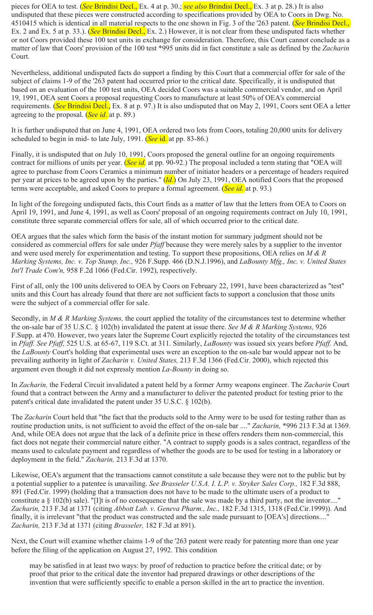pieces for OEA to test. (*See* Brindisi Decl., Ex. 4 at p. 30.; *see also* Brindisi Decl., Ex. 3 at p. 28.) It is also undisputed that these pieces were constructed according to specifications provided by OEA to Coors in Dwg. No. 4510415 which is identical in all material respects to the one shown in Fig. 3 of the '263 patent. (*See* Brindisi Decl., Ex. 2 and Ex. 5 at p. 33.). (*See* Brindisi Decl., Ex. 2.) However, it is not clear from these undisputed facts whether or not Coors provided these 100 test units in exchange for consideration. Therefore, this Court cannot conclude as a matter of law that Coors' provision of the 100 test \*995 units did in fact constitute a sale as defined by the *Zacharin* Court.

Nevertheless, additional undisputed facts do support a finding by this Court that a commercial offer for sale of the subject of claims 1-9 of the '263 patent had occurred prior to the critical date. Specifically, it is undisputed that based on an evaluation of the 100 test units, OEA decided Coors was a suitable commercial vendor, and on April 19, 1991, OEA sent Coors a proposal requesting Coors to manufacture at least 50% of OEA's commercial requirements. (*See* Brindisi Decl., Ex. 8 at p. 97.) It is also undisputed that on May 2, 1991, Coors sent OEA a letter agreeing to the proposal. (*See id.* at p. 89.)

It is further undisputed that on June 4, 1991, OEA ordered two lots from Coors, totaling 20,000 units for delivery scheduled to begin in mid- to late July, 1991. (*See* id. at pp. 83-86.)

Finally, it is undisputed that on July 10, 1991, Coors proposed the general outline for an ongoing requirements contract for millions of units per year. (*See id.* at pp. 90-92.) The proposal included a term stating that "OEA will agree to purchase from Coors Ceramics a minimum number of initiator headers or a percentage of headers required per year at prices to be agreed upon by the parties." (*Id.*) On July 23, 1991, OEA notified Coors that the proposed terms were acceptable, and asked Coors to prepare a formal agreement. (*See id.* at p. 93.)

In light of the foregoing undisputed facts, this Court finds as a matter of law that the letters from OEA to Coors on April 19, 1991, and June 4, 1991, as well as Coors' proposal of an ongoing requirements contract on July 10, 1991, constitute three separate commercial offers for sale, all of which occurred prior to the critical date.

OEA argues that the sales which form the basis of the instant motion for summary judgment should not be considered as commercial offers for sale under *Pfaff* because they were merely sales by a supplier to the inventor and were used merely for experimentation and testing. To support these propositions, OEA relies on *M & R Marking Systems, Inc. v. Top Stamp, Inc.,* 926 F.Supp. 466 (D.N.J.1996), and *LaBounty Mfg., Inc. v. United States Int'l Trade Com'n,* 958 F.2d 1066 (Fed.Cir. 1992), respectively.

First of all, only the 100 units delivered to OEA by Coors on February 22, 1991, have been characterized as "test" units and this Court has already found that there are not sufficient facts to support a conclusion that those units were the subject of a commercial offer for sale.

Secondly, in *M & R Marking Systems,* the court applied the totality of the circumstances test to determine whether the on-sale bar of 35 U.S.C. § 102(b) invalidated the patent at issue there. *See M & R Marking Systems,* 926 F.Supp. at 470. However, two years later the Supreme Court explicitly rejected the totality of the circumstances test in *Pfaff. See Pfaff,* 525 U.S. at 65-67, 119 S.Ct. at 311. Similarly, *LaBounty* was issued six years before *Pfaff.* And, the *LaBounty* Court's holding that experimental uses were an exception to the on-sale bar would appear not to be prevailing authority in light of *Zacharin v. United States,* 213 F.3d 1366 (Fed.Cir. 2000), which rejected this argument even though it did not expressly mention *La-Bounty* in doing so.

In *Zacharin,* the Federal Circuit invalidated a patent held by a former Army weapons engineer. The *Zacharin* Court found that a contract between the Army and a manufacturer to deliver the patented product for testing prior to the patent's critical date invalidated the patent under 35 U.S.C. § 102(b).

The *Zacharin* Court held that "the fact that the products sold to the Army were to be used for testing rather than as routine production units, is not sufficient to avoid the effect of the on-sale bar ...." *Zacharin,* \*996 213 F.3d at 1369. And, while OEA does not argue that the lack of a definite price in these offers renders them non-commercial, this fact does not negate their commercial nature either. "A contract to supply goods is a sales contract, regardless of the means used to calculate payment and regardless of whether the goods are to be used for testing in a laboratory or deployment in the field." *Zacharin,* 213 F.3d at 1370.

Likewise, OEA's argument that the transactions cannot constitute a sale because they were not to the public but by a potential supplier to a patentee is unavailing. *See Brasseler U.S.A. I. L.P. v. Stryker Sales Corp.,* 182 F.3d 888, 891 (Fed.Cir. 1999) (holding that a transaction does not have to be made to the ultimate users of a product to constitute a § 102(b) sale). "[I]t is of no consequence that the sale was made by a third party, not the inventor...." *Zacharin,* 213 F.3d at 1371 (citing *Abbott Lab. v. Geneva Pharm., Inc.,* 182 F.3d 1315, 1318 (Fed.Cir.1999)). And finally, it is irrelevant "that the product was constructed and the sale made pursuant to [OEA's] directions....' *Zacharin,* 213 F.3d at 1371 (citing *Brasseler,* 182 F.3d at 891).

Next, the Court will examine whether claims 1-9 of the '263 patent were ready for patenting more than one year before the filing of the application on August 27, 1992. This condition

may be satisfied in at least two ways: by proof of reduction to practice before the critical date; or by proof that prior to the critical date the inventor had prepared drawings or other descriptions of the invention that were sufficiently specific to enable a person skilled in the art to practice the invention.